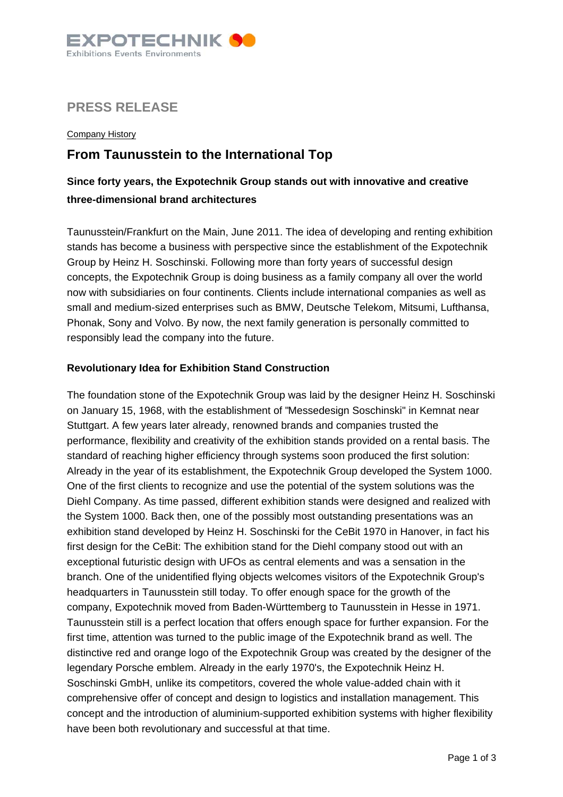

## **PRESS RELEASE**

**Company History** 

# **From Taunusstein to the International Top**

## **Since forty years, the Expotechnik Group stands out with innovative and creative three-dimensional brand architectures**

Taunusstein/Frankfurt on the Main, June 2011. The idea of developing and renting exhibition stands has become a business with perspective since the establishment of the Expotechnik Group by Heinz H. Soschinski. Following more than forty years of successful design concepts, the Expotechnik Group is doing business as a family company all over the world now with subsidiaries on four continents. Clients include international companies as well as small and medium-sized enterprises such as BMW, Deutsche Telekom, Mitsumi, Lufthansa, Phonak, Sony and Volvo. By now, the next family generation is personally committed to responsibly lead the company into the future.

### **Revolutionary Idea for Exhibition Stand Construction**

The foundation stone of the Expotechnik Group was laid by the designer Heinz H. Soschinski on January 15, 1968, with the establishment of "Messedesign Soschinski" in Kemnat near Stuttgart. A few years later already, renowned brands and companies trusted the performance, flexibility and creativity of the exhibition stands provided on a rental basis. The standard of reaching higher efficiency through systems soon produced the first solution: Already in the year of its establishment, the Expotechnik Group developed the System 1000. One of the first clients to recognize and use the potential of the system solutions was the Diehl Company. As time passed, different exhibition stands were designed and realized with the System 1000. Back then, one of the possibly most outstanding presentations was an exhibition stand developed by Heinz H. Soschinski for the CeBit 1970 in Hanover, in fact his first design for the CeBit: The exhibition stand for the Diehl company stood out with an exceptional futuristic design with UFOs as central elements and was a sensation in the branch. One of the unidentified flying objects welcomes visitors of the Expotechnik Group's headquarters in Taunusstein still today. To offer enough space for the growth of the company, Expotechnik moved from Baden-Württemberg to Taunusstein in Hesse in 1971. Taunusstein still is a perfect location that offers enough space for further expansion. For the first time, attention was turned to the public image of the Expotechnik brand as well. The distinctive red and orange logo of the Expotechnik Group was created by the designer of the legendary Porsche emblem. Already in the early 1970's, the Expotechnik Heinz H. Soschinski GmbH, unlike its competitors, covered the whole value-added chain with it comprehensive offer of concept and design to logistics and installation management. This concept and the introduction of aluminium-supported exhibition systems with higher flexibility have been both revolutionary and successful at that time.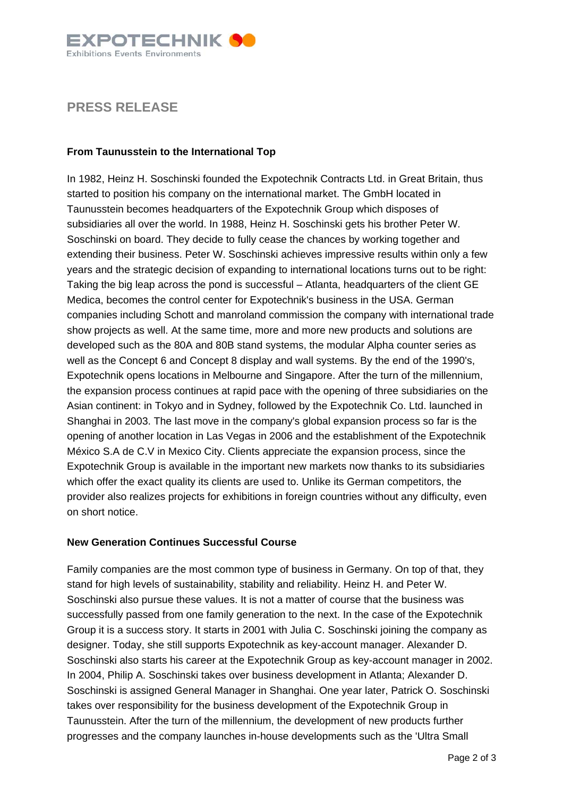

## **PRESS RELEASE**

### **From Taunusstein to the International Top**

In 1982, Heinz H. Soschinski founded the Expotechnik Contracts Ltd. in Great Britain, thus started to position his company on the international market. The GmbH located in Taunusstein becomes headquarters of the Expotechnik Group which disposes of subsidiaries all over the world. In 1988, Heinz H. Soschinski gets his brother Peter W. Soschinski on board. They decide to fully cease the chances by working together and extending their business. Peter W. Soschinski achieves impressive results within only a few years and the strategic decision of expanding to international locations turns out to be right: Taking the big leap across the pond is successful – Atlanta, headquarters of the client GE Medica, becomes the control center for Expotechnik's business in the USA. German companies including Schott and manroland commission the company with international trade show projects as well. At the same time, more and more new products and solutions are developed such as the 80A and 80B stand systems, the modular Alpha counter series as well as the Concept 6 and Concept 8 display and wall systems. By the end of the 1990's, Expotechnik opens locations in Melbourne and Singapore. After the turn of the millennium, the expansion process continues at rapid pace with the opening of three subsidiaries on the Asian continent: in Tokyo and in Sydney, followed by the Expotechnik Co. Ltd. launched in Shanghai in 2003. The last move in the company's global expansion process so far is the opening of another location in Las Vegas in 2006 and the establishment of the Expotechnik México S.A de C.V in Mexico City. Clients appreciate the expansion process, since the Expotechnik Group is available in the important new markets now thanks to its subsidiaries which offer the exact quality its clients are used to. Unlike its German competitors, the provider also realizes projects for exhibitions in foreign countries without any difficulty, even on short notice.

#### **New Generation Continues Successful Course**

Family companies are the most common type of business in Germany. On top of that, they stand for high levels of sustainability, stability and reliability. Heinz H. and Peter W. Soschinski also pursue these values. It is not a matter of course that the business was successfully passed from one family generation to the next. In the case of the Expotechnik Group it is a success story. It starts in 2001 with Julia C. Soschinski joining the company as designer. Today, she still supports Expotechnik as key-account manager. Alexander D. Soschinski also starts his career at the Expotechnik Group as key-account manager in 2002. In 2004, Philip A. Soschinski takes over business development in Atlanta; Alexander D. Soschinski is assigned General Manager in Shanghai. One year later, Patrick O. Soschinski takes over responsibility for the business development of the Expotechnik Group in Taunusstein. After the turn of the millennium, the development of new products further progresses and the company launches in-house developments such as the 'Ultra Small